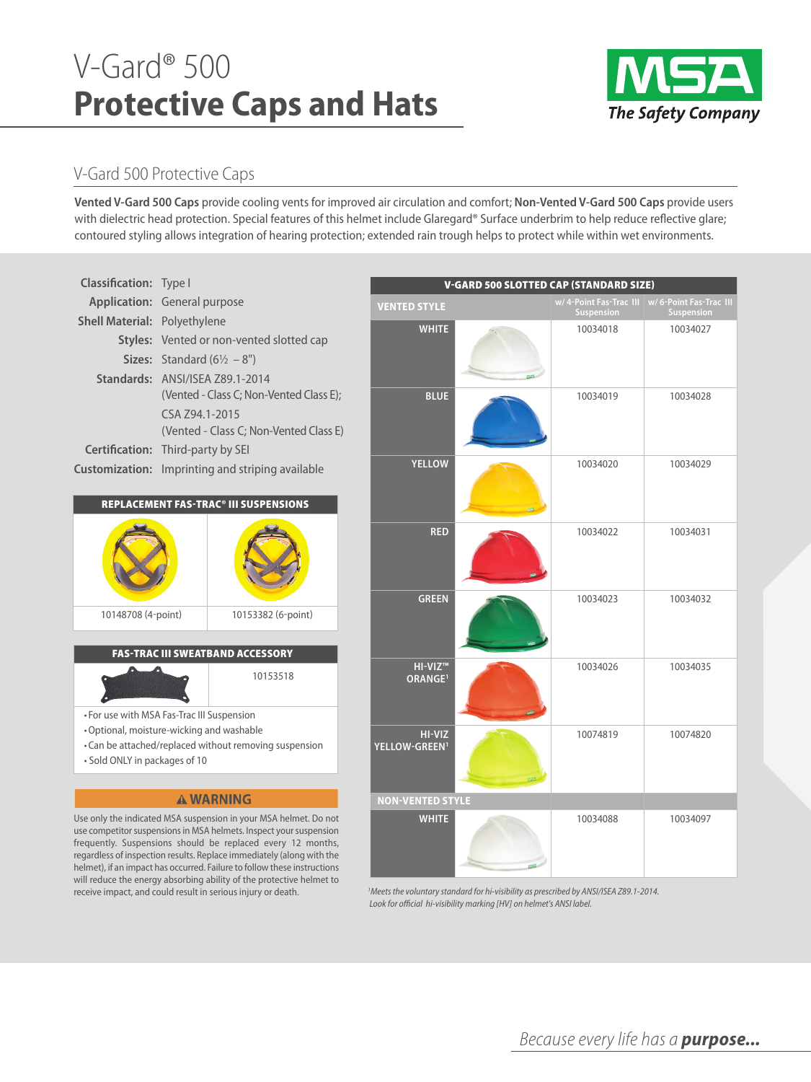# V-Gard® 500 **Protective Caps and Hats**



## V-Gard 500 Protective Caps

will reduce the energy absorbing ability of the protective helmet to receive impact, and could result in serious injury or death.

**Vented V-Gard 500 Caps** provide cooling vents for improved air circulation and comfort; **non-Vented V-Gard 500 Caps** provide users with dielectric head protection. Special features of this helmet include Glaregard® Surface underbrim to help reduce reflective glare; contoured styling allows integration of hearing protection; extended rain trough helps to protect while within wet environments.



<sup>1</sup> Meets the voluntary standard for hi-visibility as prescribed by ANSI/ISEA Z89.1-2014. Look for official hi-visibility marking [HV] on helmet's ANSI label.